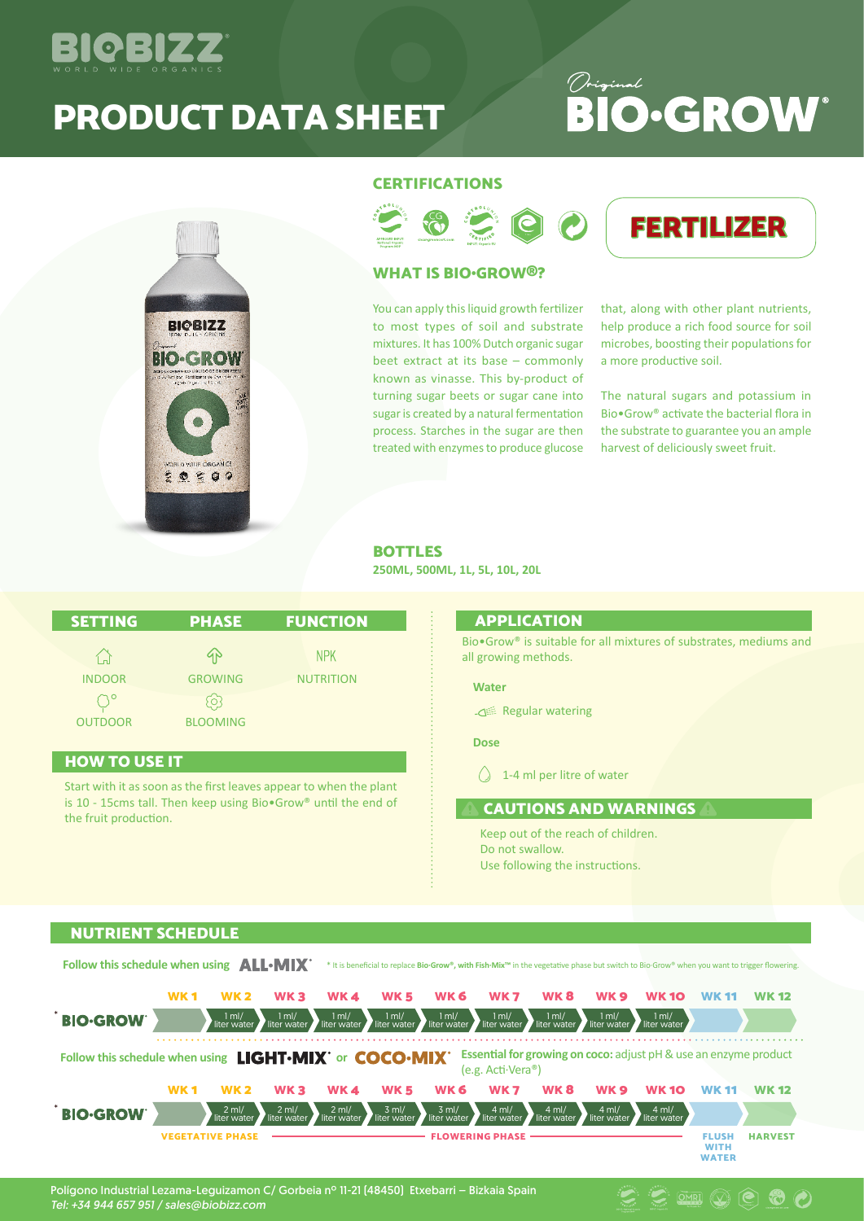

# PRODUCT DATA SHEET

# Original **BIO**.GROW<sup>®</sup>



## **CERTIFICATIONS**



## WHAT IS BIO•GROW®?

You can apply this liquid growth fertilizer to most types of soil and substrate mixtures. It has 100% Dutch organic sugar beet extract at its base – commonly known as vinasse. This by-product of turning sugar beets or sugar cane into sugar is created by a natural fermentation process. Starches in the sugar are then treated with enzymes to produce glucose

that, along with other plant nutrients, help produce a rich food source for soil microbes, boosting their populations for a more productive soil.

FERTILIZER

The natural sugars and potassium in Bio•Grow® activate the bacterial flora in the substrate to guarantee you an ample harvest of deliciously sweet fruit.

 $\circledR \circledR \circledR$ 

#### BOTTLES

**250ML, 500ML, 1L, 5L, 10L, 20L**

| <b>SETTING</b> | <b>PHASE</b>               | <b>FUNCTION</b>  |
|----------------|----------------------------|------------------|
| 合              | 4 <sub>N</sub>             | <b>NPK</b>       |
| <b>INDOOR</b>  | <b>GROWING</b>             | <b>NUTRITION</b> |
| <b>OUTDOOR</b> | $\{O\}$<br><b>BLOOMING</b> |                  |

## HOW TO USE IT

Start with it as soon as the first leaves appear to when the plant is 10 - 15cms tall. Then keep using Bio•Grow® until the end of the fruit production.

#### APPLICATION

Bio•Grow® is suitable for all mixtures of substrates, mediums and all growing methods.

#### **Water**

Regular watering

**Dose**

 $\bigcirc$  1-4 ml per litre of water

# CAUTIONS AND WARNINGS

Keep out of the reach of children. Do not swallow. Use following the instructions.

### NUTRIENT SCHEDULE

Follow this schedule when using **ALL-MIX**<sup>\*</sup> \* It is beneficial to replace Bio-Grow®, with Fish-Mix™ in the vegetative phase but switch to Bio-Grow® when you want to trigger flowering